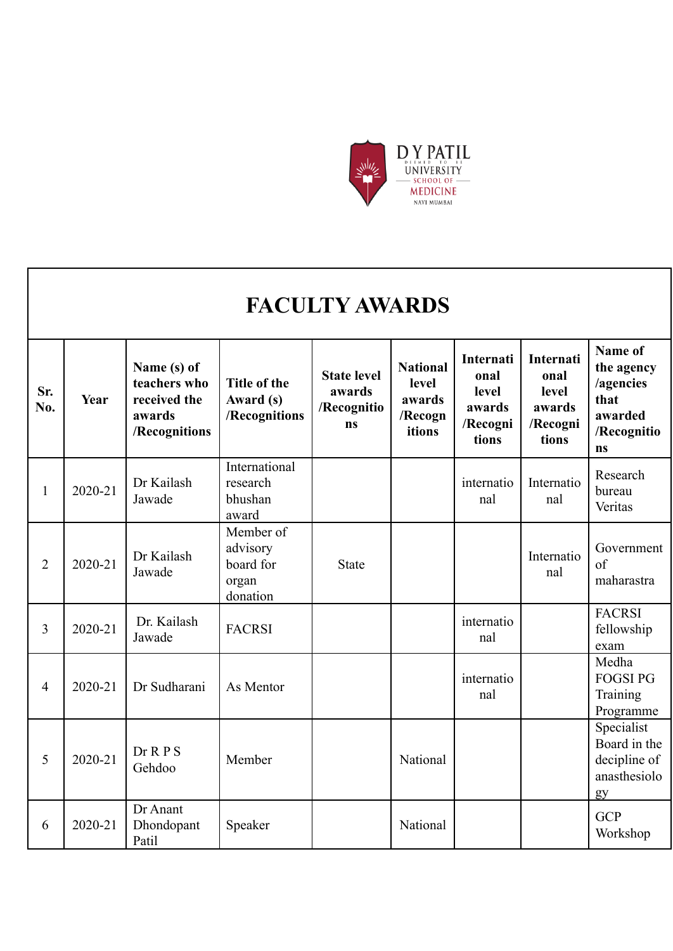

|                |         |                                                                        |                                                         | <b>FACULTY AWARDS</b>                             |                                                         |                                                           |                                                                  |                                                                            |
|----------------|---------|------------------------------------------------------------------------|---------------------------------------------------------|---------------------------------------------------|---------------------------------------------------------|-----------------------------------------------------------|------------------------------------------------------------------|----------------------------------------------------------------------------|
| йr.<br>Īο.     | Year    | Name (s) of<br>teachers who<br>received the<br>awards<br>/Recognitions | <b>Title of the</b><br>Award (s)<br>/Recognitions       | <b>State level</b><br>awards<br>/Recognitio<br>ns | <b>National</b><br>level<br>awards<br>/Recogn<br>itions | Internati<br>onal<br>level<br>awards<br>/Recogni<br>tions | <b>Internati</b><br>onal<br>level<br>awards<br>/Recogni<br>tions | Name of<br>the agency<br>/agencies<br>that<br>awarded<br>/Recognitio<br>ns |
| $\mathbf{1}$   | 2020-21 | Dr Kailash<br>Jawade                                                   | International<br>research<br>bhushan<br>award           |                                                   |                                                         | internatio<br>nal                                         | Internatio<br>nal                                                | Research<br>bureau<br>Veritas                                              |
| $\overline{2}$ | 2020-21 | Dr Kailash<br>Jawade                                                   | Member of<br>advisory<br>board for<br>organ<br>donation | <b>State</b>                                      |                                                         |                                                           | Internatio<br>nal                                                | Government<br>of<br>maharastra                                             |
| 3              | 2020-21 | Dr. Kailash<br>Jawade                                                  | <b>FACRSI</b>                                           |                                                   |                                                         | internatio<br>nal                                         |                                                                  | <b>FACRSI</b><br>fellowship<br>exam                                        |
| 4              | 2020-21 | Dr Sudharani                                                           | As Mentor                                               |                                                   |                                                         | internatio<br>nal                                         |                                                                  | Medha<br><b>FOGSI PG</b><br>Training<br>Programme                          |
| 5              | 2020-21 | Dr R P S<br>Gehdoo                                                     | Member                                                  |                                                   | National                                                |                                                           |                                                                  | Specialist<br>Board in the<br>decipline of<br>anasthesiolo<br>gy           |
| 6              | 2020-21 | Dr Anant<br>Dhondopant                                                 | Speaker                                                 |                                                   | National                                                |                                                           |                                                                  | <b>GCP</b><br>Workshop                                                     |

Workshop

**Sr. No.** 

Patil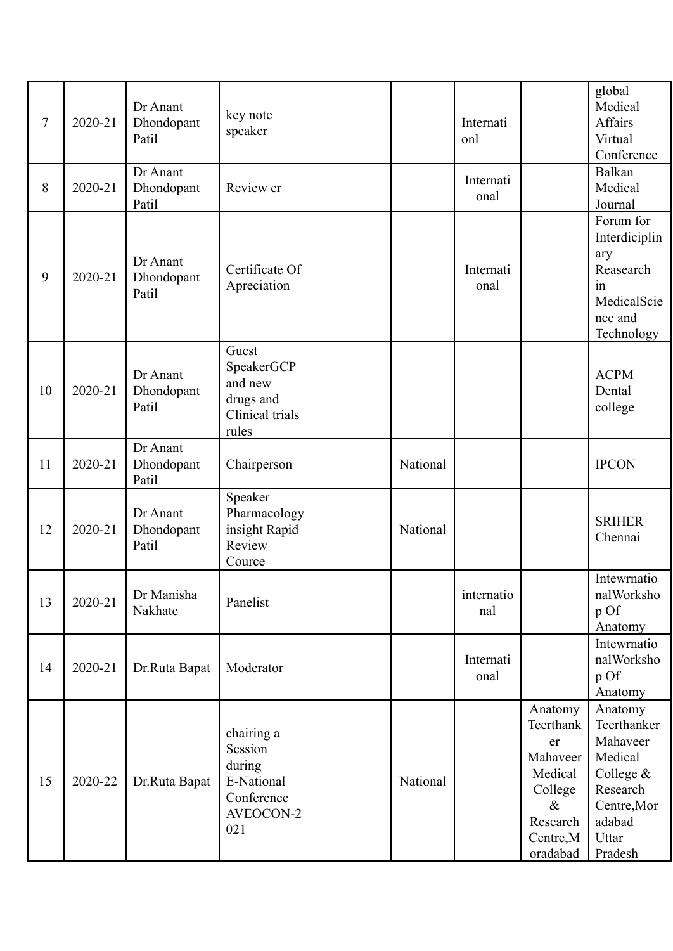| 7  | 2020-21 | Dr Anant<br>Dhondopant<br>Patil | key note<br>speaker                                                             |          | Internati<br>onl  |                                                                                                           | global<br>Medical<br>Affairs<br>Virtual<br>Conference                                                                 |
|----|---------|---------------------------------|---------------------------------------------------------------------------------|----------|-------------------|-----------------------------------------------------------------------------------------------------------|-----------------------------------------------------------------------------------------------------------------------|
| 8  | 2020-21 | Dr Anant<br>Dhondopant<br>Patil | Review er                                                                       |          | Internati<br>onal |                                                                                                           | Balkan<br>Medical<br>Journal                                                                                          |
| 9  | 2020-21 | Dr Anant<br>Dhondopant<br>Patil | Certificate Of<br>Apreciation                                                   |          | Internati<br>onal |                                                                                                           | Forum for<br>Interdiciplin<br>ary<br>Reasearch<br>in<br>MedicalScie<br>nce and<br>Technology                          |
| 10 | 2020-21 | Dr Anant<br>Dhondopant<br>Patil | Guest<br>SpeakerGCP<br>and new<br>drugs and<br>Clinical trials<br>rules         |          |                   |                                                                                                           | <b>ACPM</b><br>Dental<br>college                                                                                      |
| 11 | 2020-21 | Dr Anant<br>Dhondopant<br>Patil | Chairperson                                                                     | National |                   |                                                                                                           | <b>IPCON</b>                                                                                                          |
| 12 | 2020-21 | Dr Anant<br>Dhondopant<br>Patil | Speaker<br>Pharmacology<br>insight Rapid<br>Review<br>Cource                    | National |                   |                                                                                                           | <b>SRIHER</b><br>Chennai                                                                                              |
| 13 | 2020-21 | Dr Manisha<br>Nakhate           | Panelist                                                                        |          | internatio<br>nal |                                                                                                           | Intewrnatio<br>nalWorksho<br>p Of<br>Anatomy                                                                          |
| 14 | 2020-21 | Dr.Ruta Bapat                   | Moderator                                                                       |          | Internati<br>onal |                                                                                                           | Intewrnatio<br>nalWorksho<br>p Of<br>Anatomy                                                                          |
| 15 | 2020-22 | Dr.Ruta Bapat                   | chairing a<br>Scssion<br>during<br>E-National<br>Conference<br>AVEOCON-2<br>021 | National |                   | Anatomy<br>Teerthank<br>er<br>Mahaveer<br>Medical<br>College<br>$\&$<br>Research<br>Centre, M<br>oradabad | Anatomy<br>Teerthanker<br>Mahaveer<br>Medical<br>College $&$<br>Research<br>Centre, Mor<br>adabad<br>Uttar<br>Pradesh |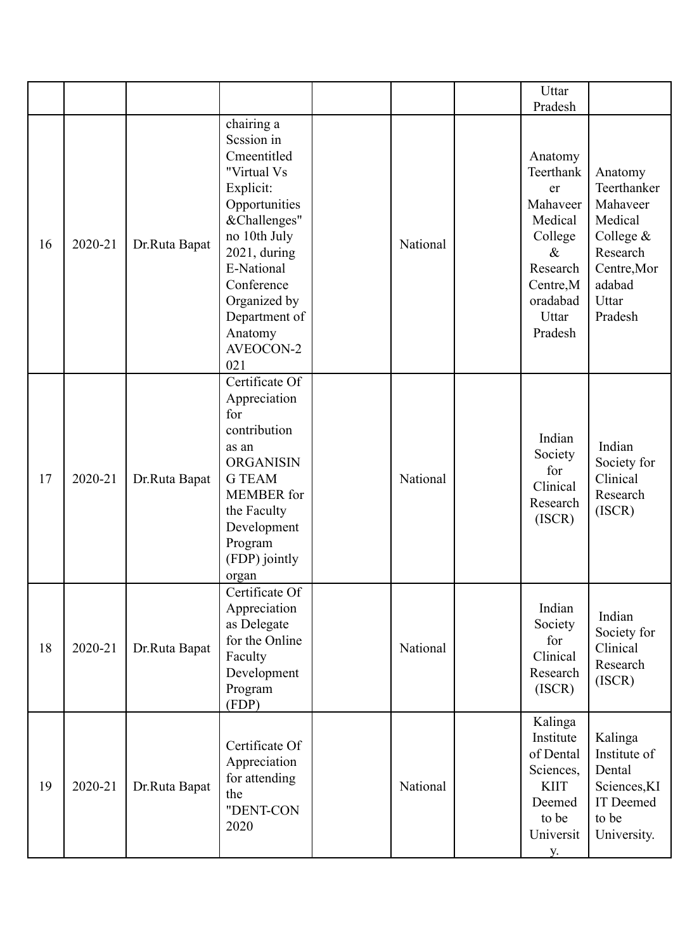|    |         |               |                                                                                                                                                                                                                                  |          | Uttar                                                                                                                         |                                                                                                                     |
|----|---------|---------------|----------------------------------------------------------------------------------------------------------------------------------------------------------------------------------------------------------------------------------|----------|-------------------------------------------------------------------------------------------------------------------------------|---------------------------------------------------------------------------------------------------------------------|
|    |         |               |                                                                                                                                                                                                                                  |          | Pradesh                                                                                                                       |                                                                                                                     |
| 16 | 2020-21 | Dr.Ruta Bapat | chairing a<br>Session in<br>Cmeentitled<br>"Virtual Vs<br>Explicit:<br>Opportunities<br>&Challenges"<br>no 10th July<br>2021, during<br>E-National<br>Conference<br>Organized by<br>Department of<br>Anatomy<br>AVEOCON-2<br>021 | National | Anatomy<br>Teerthank<br>er<br>Mahaveer<br>Medical<br>College<br>$\&$<br>Research<br>Centre, M<br>oradabad<br>Uttar<br>Pradesh | Anatomy<br>Teerthanker<br>Mahaveer<br>Medical<br>College &<br>Research<br>Centre, Mor<br>adabad<br>Uttar<br>Pradesh |
| 17 | 2020-21 | Dr.Ruta Bapat | Certificate Of<br>Appreciation<br>for<br>contribution<br>as an<br><b>ORGANISIN</b><br><b>G</b> TEAM<br><b>MEMBER</b> for<br>the Faculty<br>Development<br>Program<br>(FDP) jointly<br>organ                                      | National | Indian<br>Society<br>for<br>Clinical<br>Research<br>(ISCR)                                                                    | Indian<br>Society for<br>Clinical<br>Research<br>(ISCR)                                                             |
| 18 | 2020-21 | Dr.Ruta Bapat | Certificate Of<br>Appreciation<br>as Delegate<br>for the Online<br>Faculty<br>Development<br>Program<br>(FDP)                                                                                                                    | National | Indian<br>Society<br>for<br>Clinical<br>Research<br>(ISCR)                                                                    | Indian<br>Society for<br>Clinical<br>Research<br>(ISCR)                                                             |
| 19 | 2020-21 | Dr.Ruta Bapat | Certificate Of<br>Appreciation<br>for attending<br>the<br>"DENT-CON<br>2020                                                                                                                                                      | National | Kalinga<br>Institute<br>of Dental<br>Sciences,<br><b>KIIT</b><br>Deemed<br>to be<br>Universit<br><b>y</b> .                   | Kalinga<br>Institute of<br>Dental<br>Sciences, KI<br>IT Deemed<br>to be<br>University.                              |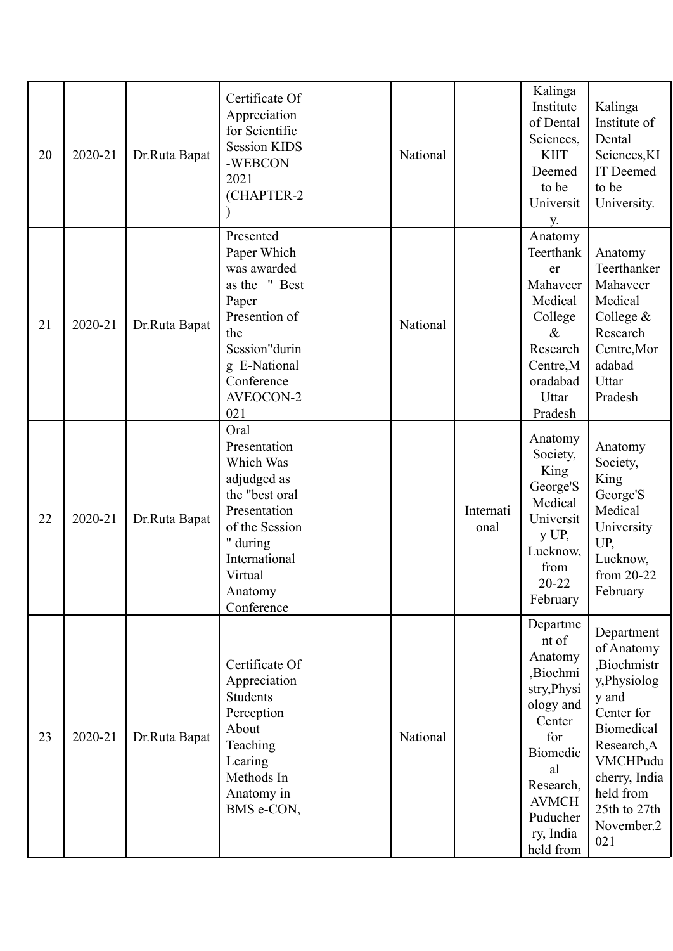| 20 | 2020-21 | Dr.Ruta Bapat | Certificate Of<br>Appreciation<br>for Scientific<br><b>Session KIDS</b><br>-WEBCON<br>2021<br>(CHAPTER-2                                                              | National |                   | Kalinga<br>Institute<br>of Dental<br>Sciences,<br><b>KIIT</b><br>Deemed<br>to be<br>Universit<br><b>y</b> .                                                                | Kalinga<br>Institute of<br>Dental<br>Sciences, KI<br>IT Deemed<br>to be<br>University.                                                                                                                |
|----|---------|---------------|-----------------------------------------------------------------------------------------------------------------------------------------------------------------------|----------|-------------------|----------------------------------------------------------------------------------------------------------------------------------------------------------------------------|-------------------------------------------------------------------------------------------------------------------------------------------------------------------------------------------------------|
| 21 | 2020-21 | Dr.Ruta Bapat | Presented<br>Paper Which<br>was awarded<br>as the "Best<br>Paper<br>Presention of<br>the<br>Session"durin<br>g E-National<br>Conference<br>AVEOCON-2<br>021           | National |                   | Anatomy<br>Teerthank<br>er<br>Mahaveer<br>Medical<br>College<br>$\&$<br>Research<br>Centre, M<br>oradabad<br>Uttar<br>Pradesh                                              | Anatomy<br>Teerthanker<br>Mahaveer<br>Medical<br>College $&$<br>Research<br>Centre, Mor<br>adabad<br>Uttar<br>Pradesh                                                                                 |
| 22 | 2020-21 | Dr.Ruta Bapat | Oral<br>Presentation<br>Which Was<br>adjudged as<br>the "best oral<br>Presentation<br>of the Session<br>" during<br>International<br>Virtual<br>Anatomy<br>Conference |          | Internati<br>onal | Anatomy<br>Society,<br>King<br>George'S<br>Medical<br>Universit<br>$y$ UP,<br>Lucknow,<br>from<br>20-22<br>February                                                        | Anatomy<br>Society,<br>King<br>George'S<br>Medical<br>University<br>UP,<br>Lucknow,<br>from 20-22<br>February                                                                                         |
| 23 | 2020-21 | Dr.Ruta Bapat | Certificate Of<br>Appreciation<br>Students<br>Perception<br>About<br>Teaching<br>Learing<br>Methods In<br>Anatomy in<br>BMS e-CON,                                    | National |                   | Departme<br>nt of<br>Anatomy<br>,Biochmi<br>stry, Physi<br>ology and<br>Center<br>for<br>Biomedic<br>al<br>Research,<br><b>AVMCH</b><br>Puducher<br>ry, India<br>held from | Department<br>of Anatomy<br>,Biochmistr<br>y,Physiolog<br>y and<br>Center for<br>Biomedical<br>Research, A<br>VMCHPudu<br>cherry, India<br>held from<br>25th to 27th<br>November <sub>.2</sub><br>021 |